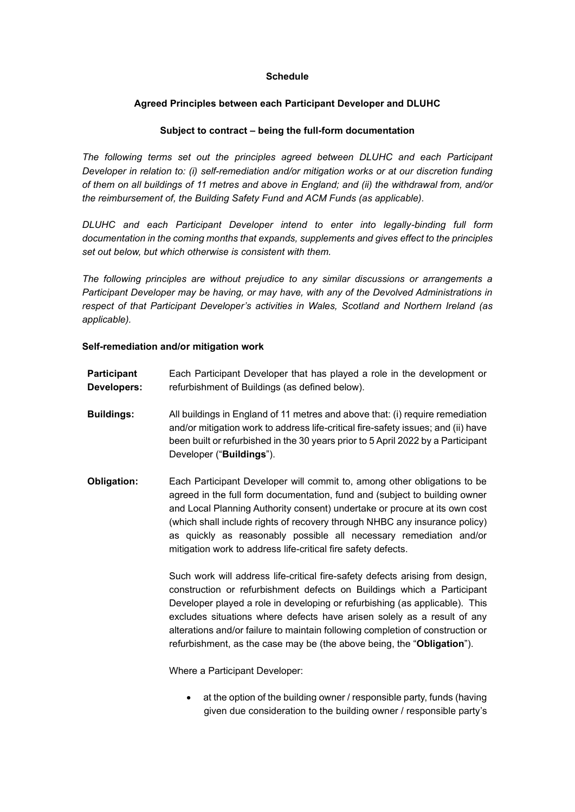## **Schedule**

# **Agreed Principles between each Participant Developer and DLUHC**

## **Subject to contract – being the full-form documentation**

*The following terms set out the principles agreed between DLUHC and each Participant Developer in relation to: (i) self-remediation and/or mitigation works or at our discretion funding of them on all buildings of 11 metres and above in England; and (ii) the withdrawal from, and/or the reimbursement of, the Building Safety Fund and ACM Funds (as applicable).* 

*DLUHC and each Participant Developer intend to enter into legally-binding full form documentation in the coming months that expands, supplements and gives effect to the principles set out below, but which otherwise is consistent with them.*

*The following principles are without prejudice to any similar discussions or arrangements a Participant Developer may be having, or may have, with any of the Devolved Administrations in respect of that Participant Developer's activities in Wales, Scotland and Northern Ireland (as applicable).* 

## **Self-remediation and/or mitigation work**

| Participant | Each Participant Developer that has played a role in the development or |
|-------------|-------------------------------------------------------------------------|
| Developers: | refurbishment of Buildings (as defined below).                          |

- **Buildings:** All buildings in England of 11 metres and above that: (i) require remediation and/or mitigation work to address life-critical fire-safety issues; and (ii) have been built or refurbished in the 30 years prior to 5 April 2022 by a Participant Developer ("**Buildings**").
- **Obligation:** Each Participant Developer will commit to, among other obligations to be agreed in the full form documentation, fund and (subject to building owner and Local Planning Authority consent) undertake or procure at its own cost (which shall include rights of recovery through NHBC any insurance policy) as quickly as reasonably possible all necessary remediation and/or mitigation work to address life-critical fire safety defects.

Such work will address life-critical fire-safety defects arising from design, construction or refurbishment defects on Buildings which a Participant Developer played a role in developing or refurbishing (as applicable). This excludes situations where defects have arisen solely as a result of any alterations and/or failure to maintain following completion of construction or refurbishment, as the case may be (the above being, the "**Obligation**").

Where a Participant Developer:

• at the option of the building owner / responsible party, funds (having given due consideration to the building owner / responsible party's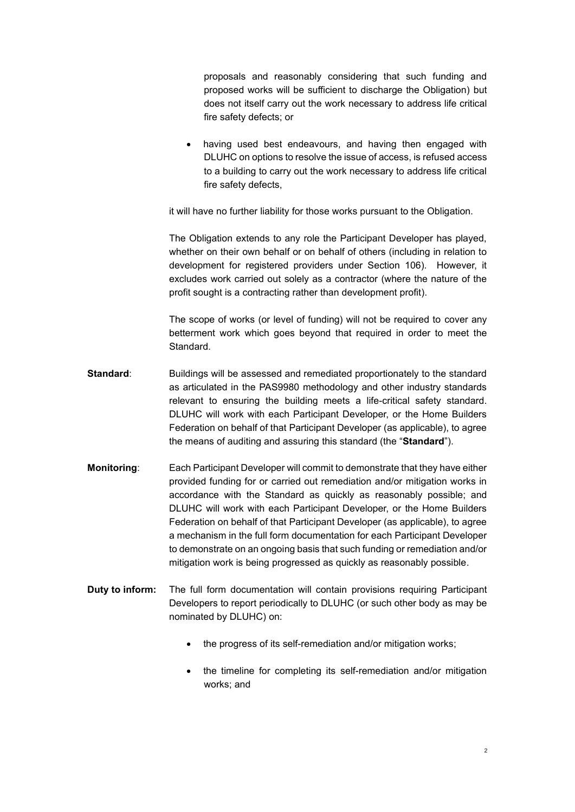proposals and reasonably considering that such funding and proposed works will be sufficient to discharge the Obligation) but does not itself carry out the work necessary to address life critical fire safety defects; or

having used best endeavours, and having then engaged with DLUHC on options to resolve the issue of access, is refused access to a building to carry out the work necessary to address life critical fire safety defects,

it will have no further liability for those works pursuant to the Obligation.

The Obligation extends to any role the Participant Developer has played, whether on their own behalf or on behalf of others (including in relation to development for registered providers under Section 106). However, it excludes work carried out solely as a contractor (where the nature of the profit sought is a contracting rather than development profit).

The scope of works (or level of funding) will not be required to cover any betterment work which goes beyond that required in order to meet the Standard.

- **Standard**: Buildings will be assessed and remediated proportionately to the standard as articulated in the PAS9980 methodology and other industry standards relevant to ensuring the building meets a life-critical safety standard. DLUHC will work with each Participant Developer, or the Home Builders Federation on behalf of that Participant Developer (as applicable), to agree the means of auditing and assuring this standard (the "**Standard**").
- **Monitoring**: Each Participant Developer will commit to demonstrate that they have either provided funding for or carried out remediation and/or mitigation works in accordance with the Standard as quickly as reasonably possible; and DLUHC will work with each Participant Developer, or the Home Builders Federation on behalf of that Participant Developer (as applicable), to agree a mechanism in the full form documentation for each Participant Developer to demonstrate on an ongoing basis that such funding or remediation and/or mitigation work is being progressed as quickly as reasonably possible.
- **Duty to inform:** The full form documentation will contain provisions requiring Participant Developers to report periodically to DLUHC (or such other body as may be nominated by DLUHC) on:
	- the progress of its self-remediation and/or mitigation works;
	- the timeline for completing its self-remediation and/or mitigation works; and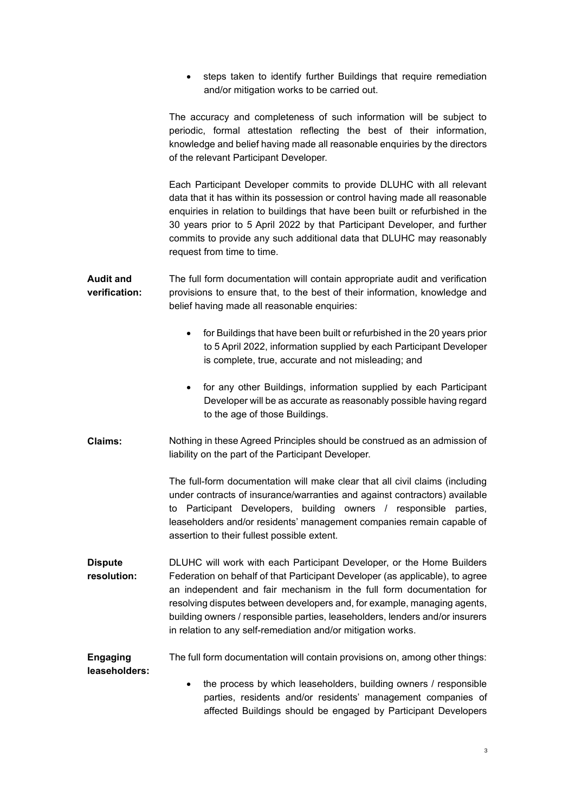• steps taken to identify further Buildings that require remediation and/or mitigation works to be carried out.

The accuracy and completeness of such information will be subject to periodic, formal attestation reflecting the best of their information, knowledge and belief having made all reasonable enquiries by the directors of the relevant Participant Developer.

Each Participant Developer commits to provide DLUHC with all relevant data that it has within its possession or control having made all reasonable enquiries in relation to buildings that have been built or refurbished in the 30 years prior to 5 April 2022 by that Participant Developer, and further commits to provide any such additional data that DLUHC may reasonably request from time to time.

- **Audit and verification:** The full form documentation will contain appropriate audit and verification provisions to ensure that, to the best of their information, knowledge and belief having made all reasonable enquiries:
	- for Buildings that have been built or refurbished in the 20 years prior to 5 April 2022, information supplied by each Participant Developer is complete, true, accurate and not misleading; and
	- for any other Buildings, information supplied by each Participant Developer will be as accurate as reasonably possible having regard to the age of those Buildings.
- **Claims:** Nothing in these Agreed Principles should be construed as an admission of liability on the part of the Participant Developer.

The full-form documentation will make clear that all civil claims (including under contracts of insurance/warranties and against contractors) available to Participant Developers, building owners / responsible parties, leaseholders and/or residents' management companies remain capable of assertion to their fullest possible extent.

**Dispute resolution:** DLUHC will work with each Participant Developer, or the Home Builders Federation on behalf of that Participant Developer (as applicable), to agree an independent and fair mechanism in the full form documentation for resolving disputes between developers and, for example, managing agents, building owners / responsible parties, leaseholders, lenders and/or insurers in relation to any self-remediation and/or mitigation works.

#### **Engaging leaseholders:** The full form documentation will contain provisions on, among other things:

• the process by which leaseholders, building owners / responsible parties, residents and/or residents' management companies of affected Buildings should be engaged by Participant Developers